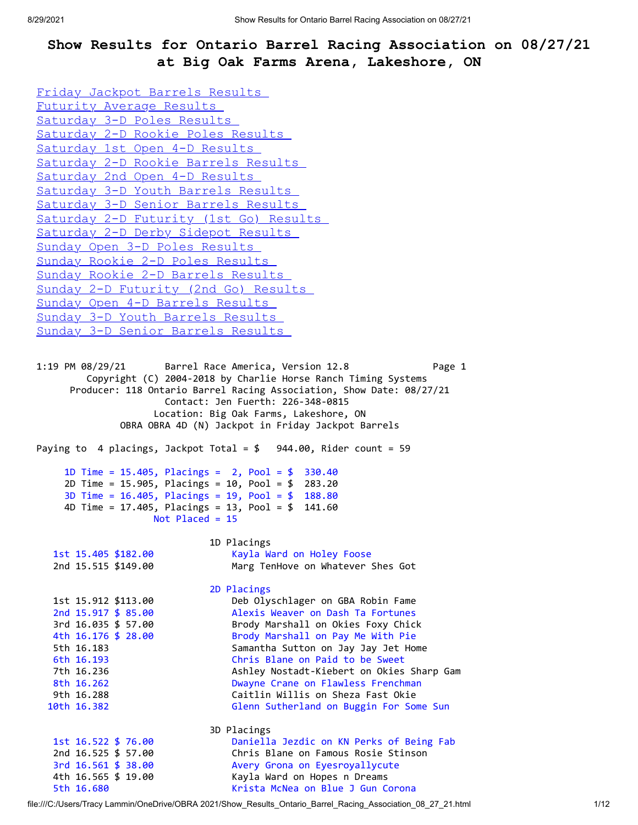## **Show Results for Ontario Barrel Racing Association on 08/27/21 at Big Oak Farms Arena, Lakeshore, ON**

```
Friday Jackpot Barrels Results 
Futurity Average Results 
Saturday 3-D Poles Results 
Saturday 2-D Rookie Poles Results 
Saturday 1st Open 4-D Results 
Saturday 2-D Rookie Barrels Results 
Saturday 2nd Open 4-D Results 
Saturday 3-D Youth Barrels Results 
Saturday 3-D Senior Barrels Results 
Saturday 2-D Futurity (1st Go) Results 
Saturday 2-D Derby Sidepot Results 
Sunday Open 3-D Poles Results 
Sunday Rookie 2-D Poles Results 
Sunday Rookie 2-D Barrels Results 
Sunday 2-D Futurity (2nd Go) Results 
Sunday Open 4-D Barrels Results 
Sunday 3-D Youth Barrels Results 
Sunday 3-D Senior Barrels Results 
1:19 PM 08/29/21 Barrel Race America, Version 12.8 Page 1 
        Copyright (C) 2004-2018 by Charlie Horse Ranch Timing Systems 
      Producer: 118 Ontario Barrel Racing Association, Show Date: 08/27/21 
                    Contact: Jen Fuerth: 226-348-0815 
                  Location: Big Oak Farms, Lakeshore, ON 
             OBRA OBRA 4D (N) Jackpot in Friday Jackpot Barrels 
Paying to 4 placings, Jackpot Total = $ 944.00, Rider count = 59 
     1D Time = 15.405, Placings = 2, Pool = $ 330.40 
     2D Time = 15.905, Placings = 10, Pool = $ 283.20 
     3D Time = 16.405, Placings = 19, Pool = $ 188.80 
     4D Time = 17.405, Placings = 13, Pool = $ 141.60 
                  Not Placed = 15 
                          1D Placings 
   1st 15.405 $182.00 Kayla Ward on Holey Foose 
   2nd 15.515 $149.00 Marg TenHove on Whatever Shes Got 
                          2D Placings 
   1st 15.912 $113.00 Deb Olyschlager on GBA Robin Fame 
   2nd 15.917 $ 85.00 Alexis Weaver on Dash Ta Fortunes 
   3rd 16.035 $ 57.00 Brody Marshall on Okies Foxy Chick 
   4th 16.176 $ 28.00 Brody Marshall on Pay Me With Pie 
   5th 16.183 Samantha Sutton on Jay Jay Jet Home 
   6th 16.193 Chris Blane on Paid to be Sweet 
   7th 16.236 Ashley Nostadt-Kiebert on Okies Sharp Gam
   8th 16.262 Dwayne Crane on Flawless Frenchman 
   9th 16.288 Caitlin Willis on Sheza Fast Okie 
  10th 16.382 Glenn Sutherland on Buggin For Some Sun 
                          3D Placings 
   1st 16.522 $ 76.00 Daniella Jezdic on KN Perks of Being Fab 
   2nd 16.525 $ 57.00 Chris Blane on Famous Rosie Stinson 
   3rd 16.561 $ 38.00 Avery Grona on Eyesroyallycute 
   4th 16.565 $ 19.00 Kayla Ward on Hopes n Dreams 
   5th 16.680 Krista McNea on Blue J Gun Corona
```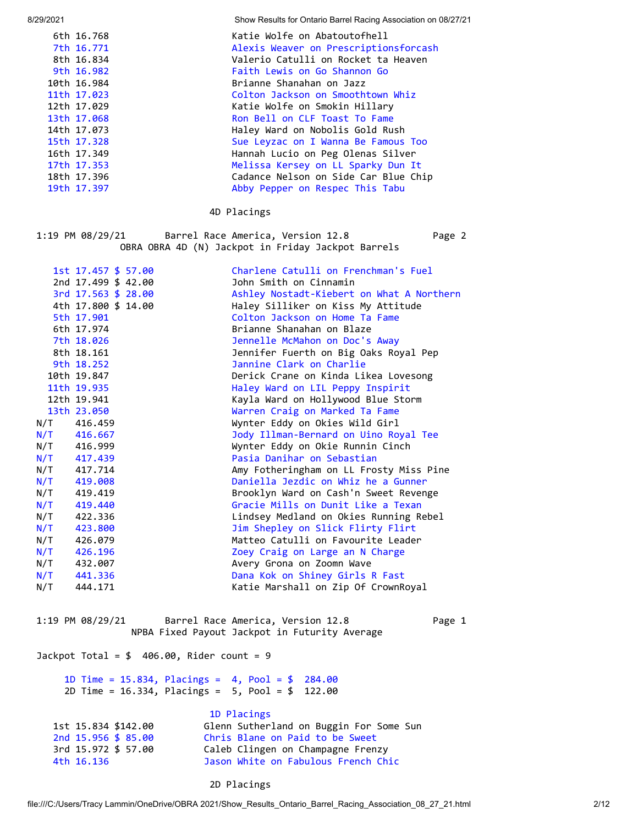8/29/2021 Show Results for Ontario Barrel Racing Association on 08/27/21

| 6th 16.768  | Katie Wolfe on Abatoutofhell          |
|-------------|---------------------------------------|
| 7th 16.771  | Alexis Weaver on Prescriptionsforcash |
| 8th 16.834  | Valerio Catulli on Rocket ta Heaven   |
| 9th 16.982  | Faith Lewis on Go Shannon Go          |
| 10th 16.984 | Brianne Shanahan on Jazz              |
| 11th 17.023 | Colton Jackson on Smoothtown Whiz     |
| 12th 17.029 | Katie Wolfe on Smokin Hillary         |
| 13th 17.068 | Ron Bell on CLF Toast To Fame         |
| 14th 17.073 | Haley Ward on Nobolis Gold Rush       |
| 15th 17.328 | Sue Leyzac on I Wanna Be Famous Too   |
| 16th 17.349 | Hannah Lucio on Peg Olenas Silver     |
| 17th 17.353 | Melissa Kersey on LL Sparky Dun It    |
| 18th 17.396 | Cadance Nelson on Side Car Blue Chip  |
| 19th 17.397 | Abby Pepper on Respec This Tabu       |
|             |                                       |

## 4D Placings

1:19 PM 08/29/21 Barrel Race America, Version 12.8 Page 2 OBRA OBRA 4D (N) Jackpot in Friday Jackpot Barrels

|     | 1st 17.457 \$ 57.00 | Charlene Catulli on Frenchman's Fuel      |
|-----|---------------------|-------------------------------------------|
|     | 2nd 17.499 \$ 42.00 | John Smith on Cinnamin                    |
|     | 3rd 17.563 \$ 28.00 | Ashley Nostadt-Kiebert on What A Northern |
|     | 4th 17.800 \$ 14.00 | Haley Silliker on Kiss My Attitude        |
|     | 5th 17.901          | Colton Jackson on Home Ta Fame            |
|     | 6th 17.974          | Brianne Shanahan on Blaze                 |
|     | 7th 18.026          | Jennelle McMahon on Doc's Away            |
|     | 8th 18.161          | Jennifer Fuerth on Big Oaks Royal Pep     |
|     | 9th 18.252          | Jannine Clark on Charlie                  |
|     | 10th 19.847         | Derick Crane on Kinda Likea Lovesong      |
|     | 11th 19.935         | Haley Ward on LIL Peppy Inspirit          |
|     | 12th 19.941         | Kayla Ward on Hollywood Blue Storm        |
|     | 13th 23.050         | Warren Craig on Marked Ta Fame            |
|     | N/T 416.459         | Wynter Eddy on Okies Wild Girl            |
| N/T | 416.667             | Jody Illman-Bernard on Uino Royal Tee     |
| N/T | 416.999             | Wynter Eddy on Okie Runnin Cinch          |
| N/T | 417.439             | Pasia Danihar on Sebastian                |
| N/T | 417.714             | Amy Fotheringham on LL Frosty Miss Pine   |
| N/T | 419.008             | Daniella Jezdic on Whiz he a Gunner       |
| N/T | 419.419             | Brooklyn Ward on Cash'n Sweet Revenge     |
| N/T | 419.440             | Gracie Mills on Dunit Like a Texan        |
| N/T | 422.336             | Lindsey Medland on Okies Running Rebel    |
| N/T | 423.800             | Jim Shepley on Slick Flirty Flirt         |
| N/T | 426.079             | Matteo Catulli on Favourite Leader        |
| N/T | 426.196             | Zoey Craig on Large an N Charge           |
| N/T | 432.007             | Avery Grona on Zoomn Wave                 |
| N/T | 441.336             | Dana Kok on Shiney Girls R Fast           |
| N/T | 444.171             | Katie Marshall on Zip Of CrownRoyal       |
|     |                     |                                           |

<span id="page-1-0"></span>1:19 PM 08/29/21 Barrel Race America, Version 12.8 Page 1 NPBA Fixed Payout Jackpot in Futurity Average

Jackpot Total =  $$ 406.00$ , Rider count = 9

 1D Time = 15.834, Placings = 4, Pool = \$ 284.00 2D Time = 16.334, Placings = 5, Pool = \$ 122.00

|                     | 1D Placings                             |
|---------------------|-----------------------------------------|
| 1st 15.834 \$142.00 | Glenn Sutherland on Buggin For Some Sun |
| 2nd 15,956 \$ 85.00 | Chris Blane on Paid to be Sweet         |
| 3rd 15.972 \$ 57.00 | Caleb Clingen on Champagne Frenzy       |
| 4th 16.136          | Jason White on Fabulous French Chic     |

## 2D Placings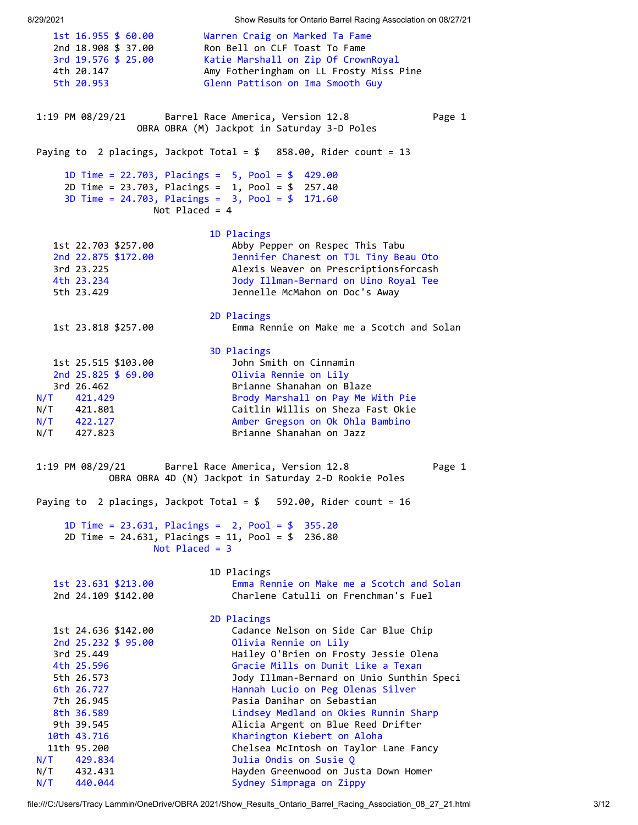8/29/2021 Show Results for Ontario Barrel Racing Association on 08/27/21

<span id="page-2-1"></span><span id="page-2-0"></span> 1st 16.955 \$ 60.00 Warren Craig on Marked Ta Fame 2nd 18.908 \$ 37.00 Ron Bell on CLF Toast To Fame 3rd 19.576 \$ 25.00 Katie Marshall on Zip Of CrownRoyal 4th 20.147 Amy Fotheringham on LL Frosty Miss Pine 5th 20.953 Glenn Pattison on Ima Smooth Guy 1:19 PM 08/29/21 Barrel Race America, Version 12.8 Page 1 OBRA OBRA (M) Jackpot in Saturday 3-D Poles Paying to 2 placings, Jackpot Total =  $$$  858.00, Rider count = 13 1D Time = 22.703, Placings = 5, Pool = \$ 429.00 2D Time = 23.703, Placings = 1, Pool = \$ 257.40 3D Time = 24.703, Placings = 3, Pool = \$ 171.60 Not Placed = 4 1D Placings 1st 22.703 \$257.00 Abby Pepper on Respec This Tabu 2nd 22.875 \$172.00 Jennifer Charest on TJL Tiny Beau Oto 3rd 23.225 Alexis Weaver on Prescriptionsforcash 4th 23.234 Jody Illman-Bernard on Uino Royal Tee 5th 23.429 Jennelle McMahon on Doc's Away 2D Placings 1st 23.818 \$257.00 Emma Rennie on Make me a Scotch and Solan 3D Placings 1st 25.515 \$103.00 John Smith on Cinnamin 2nd 25.825 \$ 69.00 Olivia Rennie on Lily 3rd 26.462 Brianne Shanahan on Blaze N/T 421.429 Brody Marshall on Pay Me With Pie N/T 421.801 Caitlin Willis on Sheza Fast Okie N/T 422.127 Amber Gregson on Ok Ohla Bambino N/T 427.823 Brianne Shanahan on Jazz 1:19 PM 08/29/21 Barrel Race America, Version 12.8 Page 1 OBRA OBRA 4D (N) Jackpot in Saturday 2-D Rookie Poles Paying to 2 placings, Jackpot Total = \$ 592.00, Rider count = 16 1D Time = 23.631, Placings = 2, Pool = \$ 355.20 2D Time = 24.631, Placings = 11, Pool = \$ 236.80 Not Placed = 3 1D Placings 1st 23.631 \$213.00 Emma Rennie on Make me a Scotch and Solan 2nd 24.109 \$142.00 Charlene Catulli on Frenchman's Fuel 2D Placings 1st 24.636 \$142.00 Cadance Nelson on Side Car Blue Chip<br>
2nd 25.232 \$ 95.00 Olivia Rennie on Lily Olivia Rennie on Lily 3rd 25.449 Hailey O'Brien on Frosty Jessie Olena 4th 25.596 Gracie Mills on Dunit Like a Texan 5th 26.573 Jody Illman-Bernard on Unio Sunthin Speci 6th 26.727 Hannah Lucio on Peg Olenas Silver 7th 26.945 Pasia Danihar on Sebastian 8th 36.589 Lindsey Medland on Okies Runnin Sharp 9th 39.545 Alicia Argent on Blue Reed Drifter 10th 43.716 Kharington Kiebert on Aloha 11th 95.200 Chelsea McIntosh on Taylor Lane Fancy N/T 429.834 Julia Ondis on Susie Q N/T 432.431 Hayden Greenwood on Justa Down Homer N/T 440.044 Sydney Simpraga on Zippy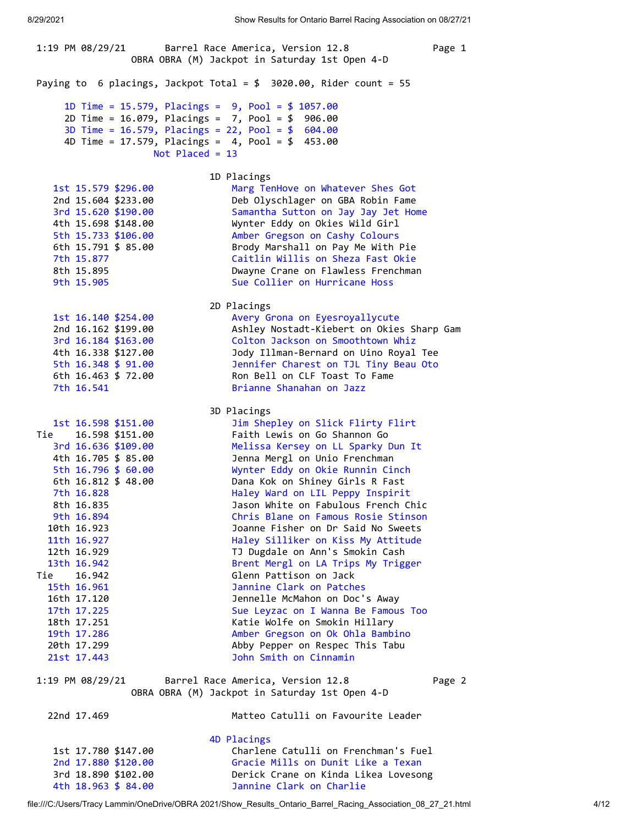<span id="page-3-0"></span>1:19 PM 08/29/21 Barrel Race America, Version 12.8 Page 1 OBRA OBRA (M) Jackpot in Saturday 1st Open 4-D Paying to 6 placings, Jackpot Total = \$ 3020.00, Rider count = 55 1D Time = 15.579, Placings = 9, Pool = \$ 1057.00 2D Time = 16.079, Placings = 7, Pool = \$ 906.00 3D Time = 16.579, Placings = 22, Pool = \$ 604.00 4D Time = 17.579, Placings = 4, Pool = \$ 453.00 Not Placed = 13 1D Placings 1st 15.579 \$296.00 Marg TenHove on Whatever Shes Got 2nd 15.604 \$233.00 Deb Olyschlager on GBA Robin Fame 3rd 15.620 \$190.00 Samantha Sutton on Jay Jay Jet Home 4th 15.698 \$148.00 Wynter Eddy on Okies Wild Girl 5th 15.733 \$106.00 Amber Gregson on Cashy Colours 6th 15.791 \$ 85.00 Brody Marshall on Pay Me With Pie 7th 15.877 Caitlin Willis on Sheza Fast Okie Dwayne Crane on Flawless Frenchman 9th 15.905 Sue Collier on Hurricane Hoss 2D Placings 1st 16.140 \$254.00 Avery Grona on Eyesroyallycute 2nd 16.162 \$199.00 Ashley Nostadt-Kiebert on Okies Sharp Gam 3rd 16.184 \$163.00 Colton Jackson on Smoothtown Whiz 4th 16.338 \$127.00 Jody Illman-Bernard on Uino Royal Tee 5th 16.348 \$ 91.00 Jennifer Charest on TJL Tiny Beau Oto 6th 16.463 \$ 72.00 Ron Bell on CLF Toast To Fame 7th 16.541 Brianne Shanahan on Jazz 3D Placings 1st 16.598 \$151.00 Jim Shepley on Slick Flirty Flirt Tie 16.598 \$151.00 Faith Lewis on Go Shannon Go 3rd 16.636 \$109.00 Melissa Kersey on LL Sparky Dun It 4th 16.705 \$ 85.00 Jenna Mergl on Unio Frenchman 5th 16.796 \$ 60.00 Wynter Eddy on Okie Runnin Cinch 6th 16.812 \$ 48.00 Dana Kok on Shiney Girls R Fast 7th 16.828 Haley Ward on LIL Peppy Inspirit 8th 16.835 Jason White on Fabulous French Chic 9th 16.894 Chris Blane on Famous Rosie Stinson 10th 16.923 Joanne Fisher on Dr Said No Sweets 11th 16.927 **Haley Silliker on Kiss My Attitude**  12th 16.929 TJ Dugdale on Ann's Smokin Cash 13th 16.942 Brent Mergl on LA Trips My Trigger Tie 16.942 Glenn Pattison on Jack 15th 16.961 Jannine Clark on Patches 16th 17.120 Jennelle McMahon on Doc's Away 17th 17.225 Sue Leyzac on I Wanna Be Famous Too 18th 17.251 Katie Wolfe on Smokin Hillary 19th 17.286 **Amber Gregson on Ok Ohla Bambino**  20th 17.299 Abby Pepper on Respec This Tabu 21st 17.443 John Smith on Cinnamin 1:19 PM 08/29/21 Barrel Race America, Version 12.8 Page 2 OBRA OBRA (M) Jackpot in Saturday 1st Open 4-D 22nd 17.469 Matteo Catulli on Favourite Leader 4D Placings 1st 17.780 \$147.00 Charlene Catulli on Frenchman's Fuel 2nd 17.880 \$120.00 Gracie Mills on Dunit Like a Texan 3rd 18.890 \$102.00 Derick Crane on Kinda Likea Lovesong 4th 18.963 \$ 84.00 Jannine Clark on Charlie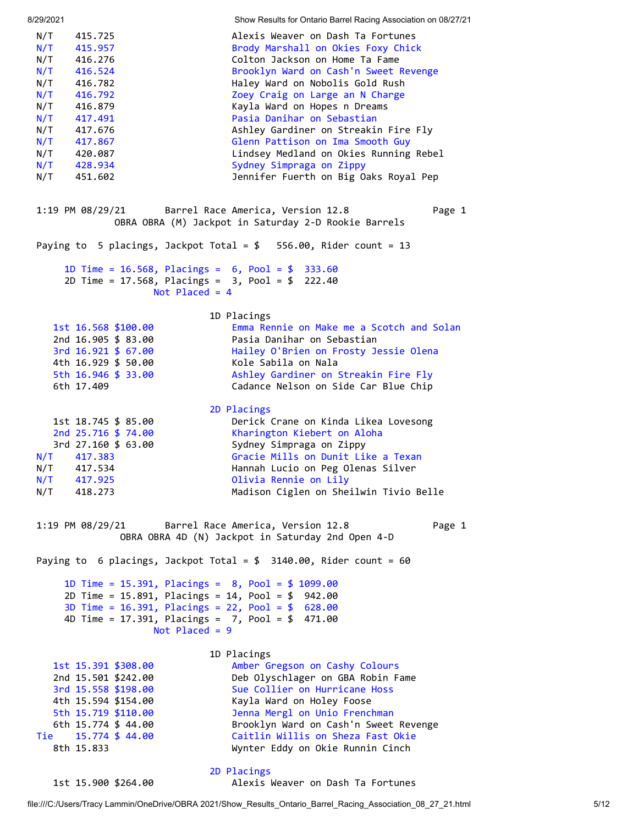<span id="page-4-0"></span>8/29/2021 Show Results for Ontario Barrel Racing Association on 08/27/21 N/T 415.725 Alexis Weaver on Dash Ta Fortunes N/T 415.957 Brody Marshall on Okies Foxy Chick N/T 416.276 Colton Jackson on Home Ta Fame N/T 416.524 Brooklyn Ward on Cash'n Sweet Revenge N/T 416.782 Haley Ward on Nobolis Gold Rush N/T 416.792 Zoey Craig on Large an N Charge N/T 416.879 Kayla Ward on Hopes n Dreams N/T 417.491 Pasia Danihar on Sebastian N/T 417.676 Ashley Gardiner on Streakin Fire Fly N/T 417.867 Glenn Pattison on Ima Smooth Guy N/T 420.087 Lindsey Medland on Okies Running Rebel N/T 428.934 Sydney Simpraga on Zippy N/T 451.602 Jennifer Fuerth on Big Oaks Royal Pep 1:19 PM 08/29/21 Barrel Race America, Version 12.8 Page 1 OBRA OBRA (M) Jackpot in Saturday 2-D Rookie Barrels Paying to 5 placings, Jackpot Total = \$ 556.00, Rider count = 13 1D Time = 16.568, Placings = 6, Pool = \$ 333.60 2D Time = 17.568, Placings = 3, Pool = \$ 222.40 Not Placed = 4 1D Placings 1st 16.568 \$100.00 Emma Rennie on Make me a Scotch and Solan<br>2nd 16.905 \$ 83.00 Pasia Danihar on Sebastian Pasia Danihar on Sebastian 3rd 16.921 \$ 67.00 Hailey O'Brien on Frosty Jessie Olena 4th 16.929 \$ 50.00 Kole Sabila on Nala 5th 16.946 \$ 33.00 Ashley Gardiner on Streakin Fire Fly 6th 17.409 Cadance Nelson on Side Car Blue Chip 2D Placings 1st 18.745 \$ 85.00 Derick Crane on Kinda Likea Lovesong 2nd 25.716 \$ 74.00 Kharington Kiebert on Aloha<br>3rd 27.160 \$ 63.00 Sydney Simpraga on Zippy 3rd 27.160 \$ 63.00 Sydney Simpraga on Zippy N/T 417.383 Gracie Mills on Dunit Like a Texan N/T 417.534 Hannah Lucio on Peg Olenas Silver N/T 417.925 Olivia Rennie on Lily N/T 418.273 Madison Ciglen on Sheilwin Tivio Belle 1:19 PM 08/29/21 Barrel Race America, Version 12.8 Page 1 OBRA OBRA 4D (N) Jackpot in Saturday 2nd Open 4-D Paying to 6 placings, Jackpot Total =  $$3140.00$ , Rider count = 60 1D Time = 15.391, Placings = 8, Pool = \$ 1099.00 2D Time = 15.891, Placings = 14, Pool = \$ 942.00 3D Time = 16.391, Placings = 22, Pool = \$ 628.00 4D Time = 17.391, Placings = 7, Pool = \$ 471.00 Not Placed = 9 1D Placings 1st 15.391 \$308.00 Amber Gregson on Cashy Colours 2nd 15.501 \$242.00 Deb Olyschlager on GBA Robin Fame 3rd 15.558 \$198.00 Sue Collier on Hurricane Hoss 4th 15.594 \$154.00 Kayla Ward on Holey Foose 5th 15.719 \$110.00 Jenna Mergl on Unio Frenchman 6th 15.774 \$ 44.00 Brooklyn Ward on Cash'n Sweet Revenge Tie 15.774 \$ 44.00 Caitlin Willis on Sheza Fast Okie 8th 15.833 Wynter Eddy on Okie Runnin Cinch 2D Placings

<span id="page-4-1"></span>1st 15.900 \$264.00 Alexis Weaver on Dash Ta Fortunes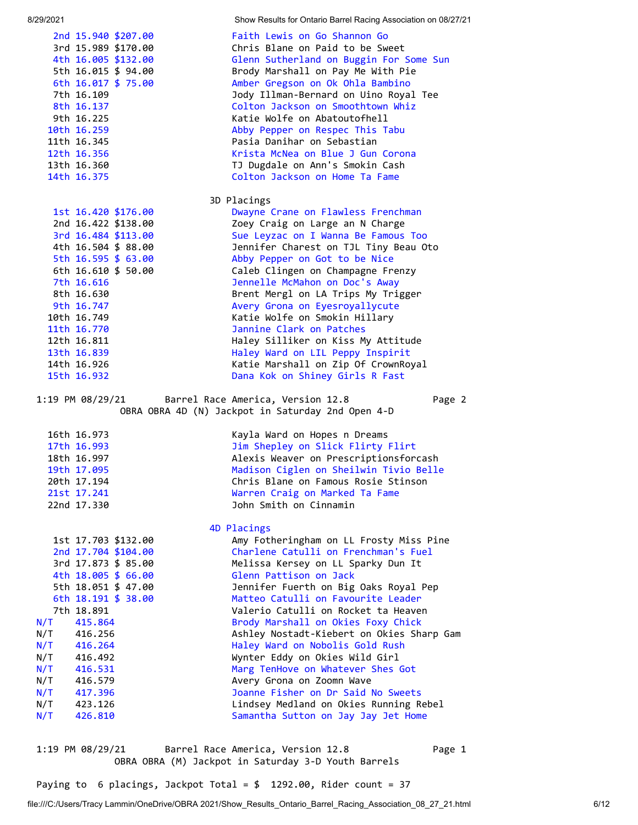2nd 15.940 \$207.00 Faith Lewis on Go Shannon Go Chris Blane on Paid to be Sweet 4th 16.005 \$132.00 Glenn Sutherland on Buggin For Some Sun 5th 16.015 \$ 94.00 Brody Marshall on Pay Me With Pie 6th 16.017 \$ 75.00 Amber Gregson on Ok Ohla Bambino 7th 16.109 Jody Illman-Bernard on Uino Royal Tee 8th 16.137 Colton Jackson on Smoothtown Whiz 9th 16.225 Katie Wolfe on Abatoutofhell 10th 16.259 Abby Pepper on Respec This Tabu 11th 16.345 Pasia Danihar on Sebastian 12th 16.356 Krista McNea on Blue J Gun Corona 13th 16.360 TJ Dugdale on Ann's Smokin Cash 14th 16.375 Colton Jackson on Home Ta Fame 3D Placings 1st 16.420 \$176.00 Dwayne Crane on Flawless Frenchman 2nd 16.422 \$138.00 Zoey Craig on Large an N Charge 3rd 16.484 \$113.00 Sue Leyzac on I Wanna Be Famous Too<br>4th 16.504 \$ 88.00 Jennifer Charest on TJL Tiny Beau O Jennifer Charest on TJL Tiny Beau Oto 5th 16.595 \$ 63.00 Abby Pepper on Got to be Nice 6th 16.610 \$ 50.00 Caleb Clingen on Champagne Frenzy 7th 16.616 Jennelle McMahon on Doc's Away 8th 16.630 Brent Mergl on LA Trips My Trigger 9th 16.747 **Avery Grona on Eyesroyallycute**  10th 16.749 Katie Wolfe on Smokin Hillary 11th 16.770 Jannine Clark on Patches 12th 16.811 Haley Silliker on Kiss My Attitude 13th 16.839 Haley Ward on LIL Peppy Inspirit 14th 16.926 Katie Marshall on Zip Of CrownRoyal 15th 16.932 Dana Kok on Shiney Girls R Fast 1:19 PM 08/29/21 Barrel Race America, Version 12.8 Page 2 OBRA OBRA 4D (N) Jackpot in Saturday 2nd Open 4-D 16th 16.973 Kayla Ward on Hopes n Dreams 17th 16.993 Jim Shepley on Slick Flirty Flirt 18th 16.997 Alexis Weaver on Prescriptionsforcash 19th 17.095 Madison Ciglen on Sheilwin Tivio Belle 20th 17.194 Chris Blane on Famous Rosie Stinson 21st 17.241 Warren Craig on Marked Ta Fame 22nd 17.330 John Smith on Cinnamin 4D Placings 1st 17.703 \$132.00 Amy Fotheringham on LL Frosty Miss Pine 2nd 17.704 \$104.00 Charlene Catulli on Frenchman's Fuel 3rd 17.873 \$ 85.00 Melissa Kersey on LL Sparky Dun It 4th 18.005 \$ 66.00 Glenn Pattison on Jack 5th 18.051 \$ 47.00 Jennifer Fuerth on Big Oaks Royal Pep 6th 18.191 \$ 38.00 Matteo Catulli on Favourite Leader 7th 18.891 Valerio Catulli on Rocket ta Heaven N/T 415.864 Brody Marshall on Okies Foxy Chick N/T 416.256 Ashley Nostadt-Kiebert on Okies Sharp Gam N/T 416.264 Haley Ward on Nobolis Gold Rush N/T 416.492 Wynter Eddy on Okies Wild Girl N/T 416.531 Marg TenHove on Whatever Shes Got N/T 416.579 Avery Grona on Zoomn Wave N/T 417.396 Joanne Fisher on Dr Said No Sweets N/T 423.126 Lindsey Medland on Okies Running Rebel N/T 426.810 Samantha Sutton on Jay Jay Jet Home

<span id="page-5-0"></span>1:19 PM 08/29/21 Barrel Race America, Version 12.8 Page 1 OBRA OBRA (M) Jackpot in Saturday 3-D Youth Barrels

Paying to 6 placings, Jackpot Total = \$ 1292.00, Rider count = 37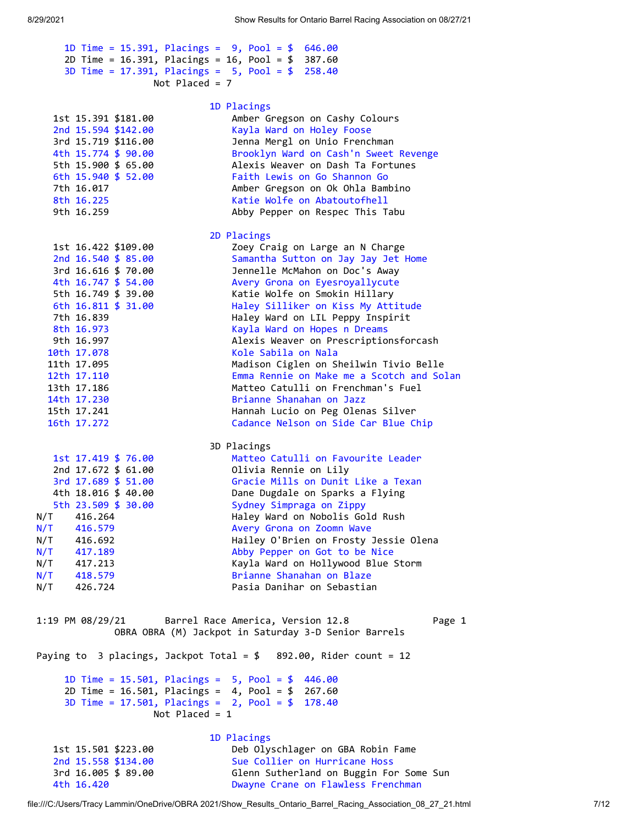<span id="page-6-0"></span>

|                                            | 1D Time = 15.391, Placings = $9$ , Pool = \$ 646.00                |
|--------------------------------------------|--------------------------------------------------------------------|
|                                            | 2D Time = $16.391$ , Placings = $16$ , Pool = $$387.60$            |
|                                            | 3D Time = 17.391, Placings = $5$ , Pool = \$ 258.40                |
| Not Placed = $7$                           |                                                                    |
|                                            |                                                                    |
|                                            | 1D Placings                                                        |
| 1st 15.391 \$181.00                        | Amber Gregson on Cashy Colours                                     |
| 2nd 15.594 \$142.00<br>3rd 15.719 \$116.00 | Kayla Ward on Holey Foose<br>Jenna Mergl on Unio Frenchman         |
| 4th 15.774 \$ 90.00                        | Brooklyn Ward on Cash'n Sweet Revenge                              |
| 5th 15.900 \$ 65.00                        | Alexis Weaver on Dash Ta Fortunes                                  |
| 6th 15.940 \$ 52.00                        | Faith Lewis on Go Shannon Go                                       |
| 7th 16.017                                 | Amber Gregson on Ok Ohla Bambino                                   |
| 8th 16.225                                 | Katie Wolfe on Abatoutofhell                                       |
| 9th 16.259                                 | Abby Pepper on Respec This Tabu                                    |
|                                            |                                                                    |
|                                            | 2D Placings                                                        |
| 1st 16.422 \$109.00                        | Zoey Craig on Large an N Charge                                    |
| 2nd $16.540 \text{ } $85.00$               | Samantha Sutton on Jay Jay Jet Home                                |
| 3rd 16.616 \$ 70.00                        | Jennelle McMahon on Doc's Away                                     |
| 4th 16.747 \$ 54.00                        | Avery Grona on Eyesroyallycute                                     |
| 5th 16.749 \$ 39.00                        | Katie Wolfe on Smokin Hillary                                      |
| 6th 16.811 \$ 31.00                        | Haley Silliker on Kiss My Attitude                                 |
| 7th 16.839                                 | Haley Ward on LIL Peppy Inspirit                                   |
| 8th 16.973                                 | Kayla Ward on Hopes n Dreams                                       |
| 9th 16.997                                 | Alexis Weaver on Prescriptionsforcash                              |
| 10th 17.078                                | Kole Sabila on Nala                                                |
| 11th 17.095                                | Madison Ciglen on Sheilwin Tivio Belle                             |
| 12th 17.110                                | Emma Rennie on Make me a Scotch and Solan                          |
| 13th 17.186                                | Matteo Catulli on Frenchman's Fuel                                 |
| 14th 17.230                                | Brianne Shanahan on Jazz                                           |
| 15th 17.241                                | Hannah Lucio on Peg Olenas Silver                                  |
| 16th 17.272                                | Cadance Nelson on Side Car Blue Chip                               |
|                                            | 3D Placings                                                        |
| 1st 17.419 \$ 76.00                        | Matteo Catulli on Favourite Leader                                 |
| 2nd 17.672 \$ 61.00                        | Olivia Rennie on Lily                                              |
| 3rd 17.689 \$ 51.00                        | Gracie Mills on Dunit Like a Texan                                 |
| 4th 18.016 \$ 40.00                        | Dane Dugdale on Sparks a Flying                                    |
| 5th 23.509 \$ 30.00                        | Sydney Simpraga on Zippy                                           |
| N/T<br>416.264                             | Haley Ward on Nobolis Gold Rush                                    |
| N/T<br>416.579                             | Avery Grona on Zoomn Wave                                          |
| N/T<br>416.692                             | Hailey O'Brien on Frosty Jessie Olena                              |
| N/T<br>417.189                             | Abby Pepper on Got to be Nice                                      |
| N/T<br>417.213                             | Kayla Ward on Hollywood Blue Storm                                 |
| N/T<br>418.579                             | Brianne Shanahan on Blaze                                          |
| N/T<br>426.724                             | Pasia Danihar on Sebastian                                         |
|                                            |                                                                    |
| 1:19 PM 08/29/21                           | Barrel Race America, Version 12.8<br>Page 1                        |
|                                            | OBRA OBRA (M) Jackpot in Saturday 3-D Senior Barrels               |
|                                            |                                                                    |
|                                            | Paying to 3 placings, Jackpot Total = $$$ 892.00, Rider count = 12 |
|                                            |                                                                    |
|                                            | 1D Time = $15.501$ , Placings = $5$ , Pool = $$446.00$             |
|                                            | 2D Time = $16.501$ , Placings = $4$ , Pool = $$267.60$             |
|                                            | 3D Time = $17.501$ , Placings = $2$ , Pool = \$ 178.40             |
| Not Placed = $1$                           |                                                                    |
|                                            |                                                                    |
|                                            | 1D Placings                                                        |
| 1st 15.501 \$223.00                        | Deb Olyschlager on GBA Robin Fame                                  |
| 2nd 15.558 \$134.00                        | Sue Collier on Hurricane Hoss                                      |
| 3rd 16.005 \$ 89.00                        | Glenn Sutherland on Buggin For Some Sun                            |
| 4th 16.420                                 | Dwayne Crane on Flawless Frenchman                                 |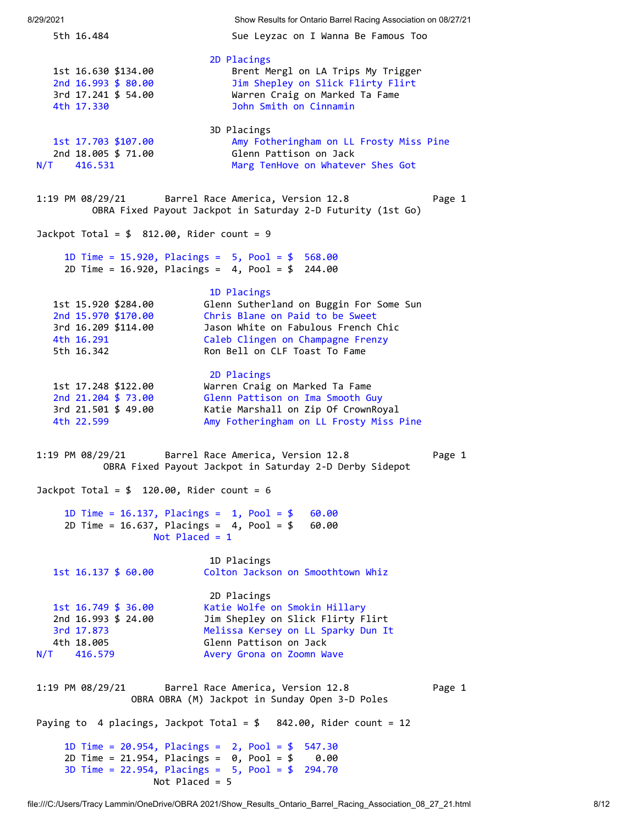<span id="page-7-2"></span><span id="page-7-1"></span><span id="page-7-0"></span>8/29/2021 Show Results for Ontario Barrel Racing Association on 08/27/21 5th 16.484 Sue Leyzac on I Wanna Be Famous Too 2D Placings 1st 16.630 \$134.00 Brent Mergl on LA Trips My Trigger 2nd 16.993 \$ 80.00 Jim Shepley on Slick Flirty Flirt 3rd 17.241 \$ 54.00 Warren Craig on Marked Ta Fame 4th 17.330 John Smith on Cinnamin 3D Placings 1st 17.703 \$107.00 Amy Fotheringham on LL Frosty Miss Pine Glenn Pattison on Jack N/T 416.531 Marg TenHove on Whatever Shes Got 1:19 PM 08/29/21 Barrel Race America, Version 12.8 Page 1 OBRA Fixed Payout Jackpot in Saturday 2-D Futurity (1st Go) Jackpot Total =  $$ 812.00$ , Rider count = 9 1D Time = 15.920, Placings = 5, Pool = \$ 568.00 2D Time = 16.920, Placings = 4, Pool = \$ 244.00 1D Placings 1st 15.920 \$284.00 Glenn Sutherland on Buggin For Some Sun 2nd 15.970 \$170.00 Chris Blane on Paid to be Sweet 3rd 16.209 \$114.00 Jason White on Fabulous French Chic 10.209 PII4.00<br>4th 16.291 Caleb Clingen on Champagne Frenzy 5th 16.342 Ron Bell on CLF Toast To Fame 2D Placings 1st 17.248 \$122.00 Warren Craig on Marked Ta Fame 2nd 21.204 \$ 73.00 Glenn Pattison on Ima Smooth Guy 3rd 21.501 \$ 49.00 Katie Marshall on Zip Of CrownRoyal 4th 22.599 Amy Fotheringham on LL Frosty Miss Pine 1:19 PM 08/29/21 Barrel Race America, Version 12.8 Page 1 OBRA Fixed Payout Jackpot in Saturday 2-D Derby Sidepot Jackpot Total =  $$ 120.00$ , Rider count = 6 1D Time = 16.137, Placings = 1, Pool = \$ 60.00 2D Time = 16.637, Placings = 4, Pool = \$ 60.00 Not Placed = 1 1D Placings 1st 16.137 \$ 60.00 Colton Jackson on Smoothtown Whiz 2D Placings 1st 16.749 \$ 36.00 Katie Wolfe on Smokin Hillary 2nd 16.993 \$ 24.00 Jim Shepley on Slick Flirty Flirt 3rd 17.873 Melissa Kersey on LL Sparky Dun It external of the Melissa Kersey on LL S<br>4th 18.005 Glenn Pattison on Jack N/T 416.579 Avery Grona on Zoomn Wave 1:19 PM 08/29/21 Barrel Race America, Version 12.8 Page 1 OBRA OBRA (M) Jackpot in Sunday Open 3-D Poles Paying to 4 placings, Jackpot Total =  $$842.00$ , Rider count = 12 1D Time = 20.954, Placings = 2, Pool = \$ 547.30 2D Time = 21.954, Placings = 0, Pool = \$ 0.00 3D Time = 22.954, Placings = 5, Pool = \$ 294.70 Not Placed = 5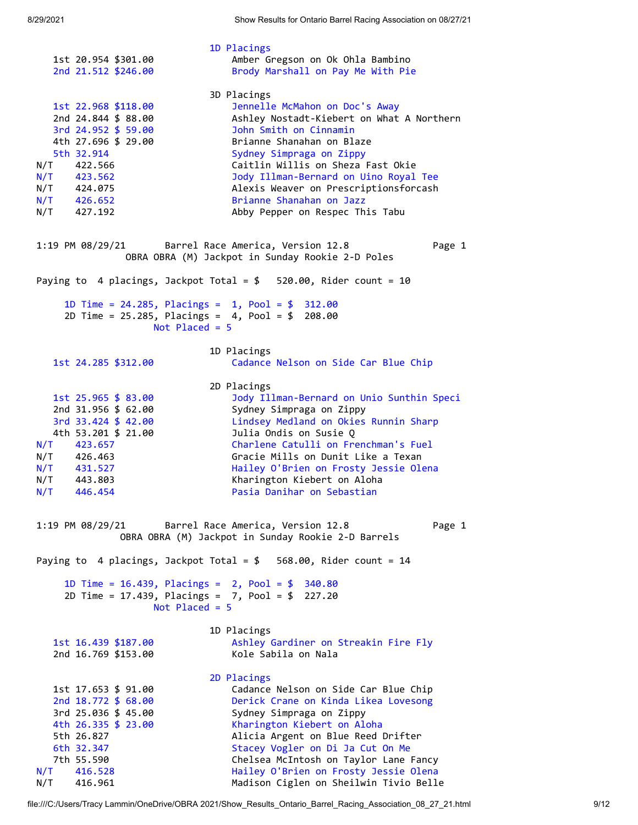<span id="page-8-0"></span> 1D Placings 1st 20.954 \$301.00 Amber Gregson on Ok Ohla Bambino 2nd 21.512 \$246.00 Brody Marshall on Pay Me With Pie 3D Placings 1st 22.968 \$118.00 Jennelle McMahon on Doc's Away 2nd 24.844 \$ 88.00 Ashley Nostadt-Kiebert on What A Northern 3rd 24.952 \$ 59.00 John Smith on Cinnamin 4th 27.696 \$ 29.00 Brianne Shanahan on Blaze 5th 32.914 Sydney Simpraga on Zippy N/T 422.566 Caitlin Willis on Sheza Fast Okie N/T 423.562 Jody Illman-Bernard on Uino Royal Tee N/T 424.075 Alexis Weaver on Prescriptionsforcash N/T 426.652 Brianne Shanahan on Jazz N/T 427.192 Abby Pepper on Respec This Tabu 1:19 PM 08/29/21 Barrel Race America, Version 12.8 Page 1 OBRA OBRA (M) Jackpot in Sunday Rookie 2-D Poles Paying to 4 placings, Jackpot Total = \$ 520.00, Rider count = 10 1D Time = 24.285, Placings = 1, Pool = \$ 312.00 2D Time = 25.285, Placings = 4, Pool = \$ 208.00 Not Placed = 5 1D Placings 1st 24.285 \$312.00 Cadance Nelson on Side Car Blue Chip 2D Placings 1st 25.965 \$ 83.00 Jody Illman-Bernard on Unio Sunthin Speci 2nd 31.956 \$ 62.00 Sydney Simpraga on Zippy 3rd 33.424 \$ 42.00 Lindsey Medland on Okies Runnin Sharp 4th 53.201 \$ 21.00 Julia Ondis on Susie Q N/T 423.657 Charlene Catulli on Frenchman's Fuel N/T 426.463 Gracie Mills on Dunit Like a Texan N/T 431.527 Hailey O'Brien on Frosty Jessie Olena N/T 443.803 Kharington Kiebert on Aloha N/T 446.454 Pasia Danihar on Sebastian 1:19 PM 08/29/21 Barrel Race America, Version 12.8 Page 1 OBRA OBRA (M) Jackpot in Sunday Rookie 2-D Barrels Paying to 4 placings, Jackpot Total =  $$568.00$ , Rider count = 14 1D Time = 16.439, Placings = 2, Pool = \$ 340.80 2D Time = 17.439, Placings = 7, Pool = \$ 227.20 Not Placed = 5 1D Placings 1st 16.439 \$187.00 Ashley Gardiner on Streakin Fire Fly 2nd 16.769 \$153.00 Kole Sabila on Nala 2D Placings 1st 17.653 \$ 91.00 Cadance Nelson on Side Car Blue Chip 2nd 18.772 \$ 68.00 Derick Crane on Kinda Likea Lovesong 3rd 25.036 \$ 45.00 Sydney Simpraga on Zippy 4th 26.335 \$ 23.00 Kharington Kiebert on Aloha 5th 26.827 Alicia Argent on Blue Reed Drifter 6th 32.347 Stacey Vogler on Di Ja Cut On Me 7th 55.590 Chelsea McIntosh on Taylor Lane Fancy N/T 416.528 Hailey O'Brien on Frosty Jessie Olena

<span id="page-8-1"></span>N/T 416.961 Madison Ciglen on Sheilwin Tivio Belle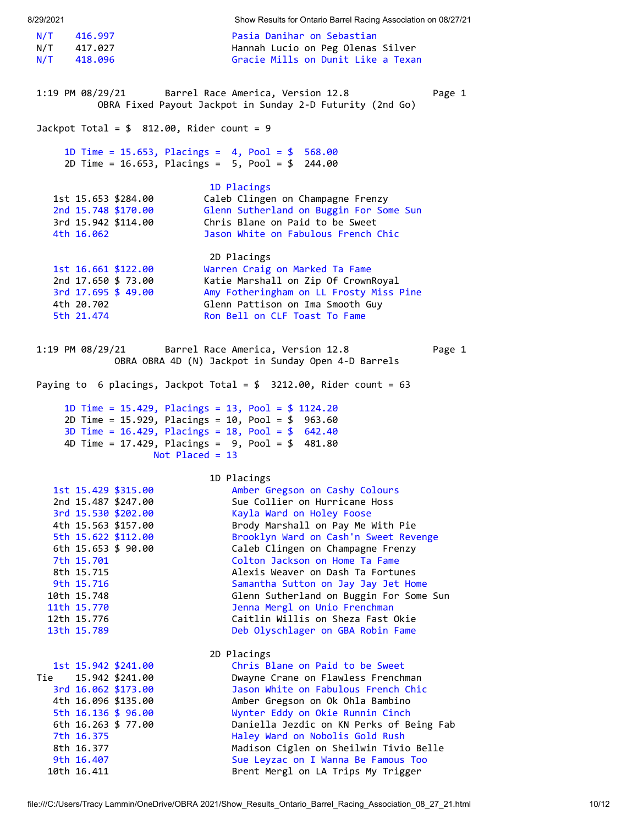<span id="page-9-1"></span><span id="page-9-0"></span>8/29/2021 Show Results for Ontario Barrel Racing Association on 08/27/21 N/T 416.997 Pasia Danihar on Sebastian N/T 417.027 Hannah Lucio on Peg Olenas Silver N/T 418.096 Gracie Mills on Dunit Like a Texan 1:19 PM 08/29/21 Barrel Race America, Version 12.8 Page 1 OBRA Fixed Payout Jackpot in Sunday 2-D Futurity (2nd Go) Jackpot Total =  $$ 812.00$ , Rider count = 9 1D Time = 15.653, Placings = 4, Pool = \$ 568.00 2D Time = 16.653, Placings = 5, Pool = \$ 244.00 1D Placings 1st 15.653 \$284.00 Caleb Clingen on Champagne Frenzy 2nd 15.748 \$170.00 Glenn Sutherland on Buggin For Some Sun 3rd 15.942 \$114.00 Chris Blane on Paid to be Sweet 4th 16.062 Jason White on Fabulous French Chic 2D Placings 1st 16.661 \$122.00 Warren Craig on Marked Ta Fame 2nd 17.650 \$ 73.00 Katie Marshall on Zip Of CrownRoyal 3rd 17.695 \$ 49.00 Amy Fotheringham on LL Frosty Miss Pine 4th 20.702 Glenn Pattison on Ima Smooth Guy 5th 21.474 Ron Bell on CLF Toast To Fame 1:19 PM 08/29/21 Barrel Race America, Version 12.8 Page 1 OBRA OBRA 4D (N) Jackpot in Sunday Open 4-D Barrels Paying to 6 placings, Jackpot Total = \$ 3212.00, Rider count = 63 1D Time = 15.429, Placings = 13, Pool = \$ 1124.20 2D Time = 15.929, Placings = 10, Pool = \$ 963.60 3D Time = 16.429, Placings = 18, Pool = \$ 642.40 4D Time = 17.429, Placings = 9, Pool = \$ 481.80 Not Placed = 13 1D Placings 1st 15.429 \$315.00 Amber Gregson on Cashy Colours 2nd 15.487 \$247.00 Sue Collier on Hurricane Hoss 3rd 15.530 \$202.00 Kayla Ward on Holey Foose 4th 15.563 \$157.00 Brody Marshall on Pay Me With Pie 5th 15.622 \$112.00 Brooklyn Ward on Cash'n Sweet Revenge Caleb Clingen on Champagne Frenzy 7th 15.701 Colton Jackson on Home Ta Fame 8th 15.715 Alexis Weaver on Dash Ta Fortunes 9th 15.716 Samantha Sutton on Jay Jay Jet Home 10th 15.748 Glenn Sutherland on Buggin For Some Sun 11th 15.770 Jenna Mergl on Unio Frenchman 12th 15.776 Caitlin Willis on Sheza Fast Okie 13th 15.789 Deb Olyschlager on GBA Robin Fame 2D Placings 1st 15.942 \$241.00 Chris Blane on Paid to be Sweet Tie 15.942 \$241.00 Dwayne Crane on Flawless Frenchman 3rd 16.062 \$173.00 Jason White on Fabulous French Chic 4th 16.096 \$135.00 Amber Gregson on Ok Ohla Bambino 5th 16.136 \$ 96.00 Wynter Eddy on Okie Runnin Cinch 6th 16.263 \$ 77.00 Daniella Jezdic on KN Perks of Being Fab 7th 16.375 Haley Ward on Nobolis Gold Rush 8th 16.377 Madison Ciglen on Sheilwin Tivio Belle 9th 16.407 Sue Leyzac on I Wanna Be Famous Too 10th 16.411 Brent Mergl on LA Trips My Trigger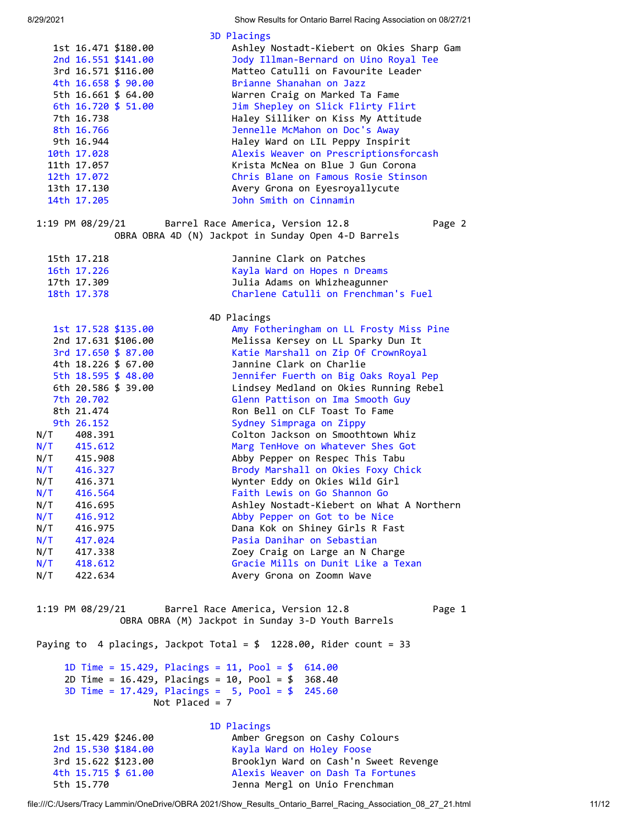8/29/2021 Show Results for Ontario Barrel Racing Association on 08/27/21

| 3D Placings<br>1st 16.471 \$180.00<br>Ashley Nostadt-Kiebert on Okies Sharp Gam<br>2nd 16.551 \$141.00<br>Jody Illman-Bernard on Uino Royal Tee<br>3rd 16.571 \$116.00<br>Matteo Catulli on Favourite Leader<br>Brianne Shanahan on Jazz<br>4th 16.658 \$ 90.00<br>5th 16.661 \$ 64.00<br>Warren Craig on Marked Ta Fame<br>6th 16.720 \$ 51.00<br>Jim Shepley on Slick Flirty Flirt<br>7th 16.738<br>Haley Silliker on Kiss My Attitude<br>Jennelle McMahon on Doc's Away<br>8th 16.766<br>9th 16.944<br>Haley Ward on LIL Peppy Inspirit<br>Alexis Weaver on Prescriptionsforcash<br>10th 17.028<br>Krista McNea on Blue J Gun Corona<br>11th 17.057<br>Chris Blane on Famous Rosie Stinson<br>12th 17.072<br>Avery Grona on Eyesroyallycute<br>13th 17.130<br>John Smith on Cinnamin<br>14th 17.205 |                  |  |  |  |
|--------------------------------------------------------------------------------------------------------------------------------------------------------------------------------------------------------------------------------------------------------------------------------------------------------------------------------------------------------------------------------------------------------------------------------------------------------------------------------------------------------------------------------------------------------------------------------------------------------------------------------------------------------------------------------------------------------------------------------------------------------------------------------------------------------|------------------|--|--|--|
|                                                                                                                                                                                                                                                                                                                                                                                                                                                                                                                                                                                                                                                                                                                                                                                                        |                  |  |  |  |
|                                                                                                                                                                                                                                                                                                                                                                                                                                                                                                                                                                                                                                                                                                                                                                                                        |                  |  |  |  |
|                                                                                                                                                                                                                                                                                                                                                                                                                                                                                                                                                                                                                                                                                                                                                                                                        |                  |  |  |  |
|                                                                                                                                                                                                                                                                                                                                                                                                                                                                                                                                                                                                                                                                                                                                                                                                        |                  |  |  |  |
|                                                                                                                                                                                                                                                                                                                                                                                                                                                                                                                                                                                                                                                                                                                                                                                                        |                  |  |  |  |
|                                                                                                                                                                                                                                                                                                                                                                                                                                                                                                                                                                                                                                                                                                                                                                                                        |                  |  |  |  |
|                                                                                                                                                                                                                                                                                                                                                                                                                                                                                                                                                                                                                                                                                                                                                                                                        |                  |  |  |  |
|                                                                                                                                                                                                                                                                                                                                                                                                                                                                                                                                                                                                                                                                                                                                                                                                        |                  |  |  |  |
|                                                                                                                                                                                                                                                                                                                                                                                                                                                                                                                                                                                                                                                                                                                                                                                                        |                  |  |  |  |
|                                                                                                                                                                                                                                                                                                                                                                                                                                                                                                                                                                                                                                                                                                                                                                                                        |                  |  |  |  |
|                                                                                                                                                                                                                                                                                                                                                                                                                                                                                                                                                                                                                                                                                                                                                                                                        |                  |  |  |  |
|                                                                                                                                                                                                                                                                                                                                                                                                                                                                                                                                                                                                                                                                                                                                                                                                        |                  |  |  |  |
|                                                                                                                                                                                                                                                                                                                                                                                                                                                                                                                                                                                                                                                                                                                                                                                                        |                  |  |  |  |
|                                                                                                                                                                                                                                                                                                                                                                                                                                                                                                                                                                                                                                                                                                                                                                                                        |                  |  |  |  |
| 1:19 PM 08/29/21<br>Barrel Race America, Version 12.8<br>Page 2                                                                                                                                                                                                                                                                                                                                                                                                                                                                                                                                                                                                                                                                                                                                        |                  |  |  |  |
| OBRA OBRA 4D (N) Jackpot in Sunday Open 4-D Barrels                                                                                                                                                                                                                                                                                                                                                                                                                                                                                                                                                                                                                                                                                                                                                    |                  |  |  |  |
| 15th 17.218<br>Jannine Clark on Patches                                                                                                                                                                                                                                                                                                                                                                                                                                                                                                                                                                                                                                                                                                                                                                |                  |  |  |  |
| Kayla Ward on Hopes n Dreams<br>16th 17.226                                                                                                                                                                                                                                                                                                                                                                                                                                                                                                                                                                                                                                                                                                                                                            |                  |  |  |  |
| Julia Adams on Whizheagunner<br>17th 17.309                                                                                                                                                                                                                                                                                                                                                                                                                                                                                                                                                                                                                                                                                                                                                            |                  |  |  |  |
| Charlene Catulli on Frenchman's Fuel<br>18th 17.378                                                                                                                                                                                                                                                                                                                                                                                                                                                                                                                                                                                                                                                                                                                                                    |                  |  |  |  |
| 4D Placings                                                                                                                                                                                                                                                                                                                                                                                                                                                                                                                                                                                                                                                                                                                                                                                            |                  |  |  |  |
| Amy Fotheringham on LL Frosty Miss Pine<br>1st 17.528 \$135.00                                                                                                                                                                                                                                                                                                                                                                                                                                                                                                                                                                                                                                                                                                                                         |                  |  |  |  |
| 2nd 17.631 \$106.00<br>Melissa Kersey on LL Sparky Dun It                                                                                                                                                                                                                                                                                                                                                                                                                                                                                                                                                                                                                                                                                                                                              |                  |  |  |  |
| Katie Marshall on Zip Of CrownRoyal<br>3rd 17.650 \$ 87.00                                                                                                                                                                                                                                                                                                                                                                                                                                                                                                                                                                                                                                                                                                                                             |                  |  |  |  |
| Jannine Clark on Charlie<br>4th 18.226 \$ 67.00                                                                                                                                                                                                                                                                                                                                                                                                                                                                                                                                                                                                                                                                                                                                                        |                  |  |  |  |
| 5th 18.595 \$ 48.00<br>Jennifer Fuerth on Big Oaks Royal Pep                                                                                                                                                                                                                                                                                                                                                                                                                                                                                                                                                                                                                                                                                                                                           |                  |  |  |  |
| 6th 20.586 \$ 39.00<br>Lindsey Medland on Okies Running Rebel                                                                                                                                                                                                                                                                                                                                                                                                                                                                                                                                                                                                                                                                                                                                          |                  |  |  |  |
| 7th 20.702<br>Glenn Pattison on Ima Smooth Guy                                                                                                                                                                                                                                                                                                                                                                                                                                                                                                                                                                                                                                                                                                                                                         |                  |  |  |  |
| 8th 21.474<br>Ron Bell on CLF Toast To Fame                                                                                                                                                                                                                                                                                                                                                                                                                                                                                                                                                                                                                                                                                                                                                            |                  |  |  |  |
| Sydney Simpraga on Zippy<br>9th 26.152                                                                                                                                                                                                                                                                                                                                                                                                                                                                                                                                                                                                                                                                                                                                                                 |                  |  |  |  |
| Colton Jackson on Smoothtown Whiz<br>N/T<br>408.391                                                                                                                                                                                                                                                                                                                                                                                                                                                                                                                                                                                                                                                                                                                                                    |                  |  |  |  |
| Marg TenHove on Whatever Shes Got<br>$N/T$ 415.612                                                                                                                                                                                                                                                                                                                                                                                                                                                                                                                                                                                                                                                                                                                                                     |                  |  |  |  |
| $N/T$ 415.908<br>Abby Pepper on Respec This Tabu                                                                                                                                                                                                                                                                                                                                                                                                                                                                                                                                                                                                                                                                                                                                                       |                  |  |  |  |
| $N/T$ 416.327<br>Brody Marshall on Okies Foxy Chick                                                                                                                                                                                                                                                                                                                                                                                                                                                                                                                                                                                                                                                                                                                                                    |                  |  |  |  |
| N/T 416.371<br>Wynter Eddy on Okies Wild Girl                                                                                                                                                                                                                                                                                                                                                                                                                                                                                                                                                                                                                                                                                                                                                          |                  |  |  |  |
| Faith Lewis on Go Shannon Go<br>N/T<br>416.564                                                                                                                                                                                                                                                                                                                                                                                                                                                                                                                                                                                                                                                                                                                                                         |                  |  |  |  |
| Ashley Nostadt-Kiebert on What A Northern<br>N/T<br>416.695                                                                                                                                                                                                                                                                                                                                                                                                                                                                                                                                                                                                                                                                                                                                            |                  |  |  |  |
| Abby Pepper on Got to be Nice<br>N/T<br>416.912                                                                                                                                                                                                                                                                                                                                                                                                                                                                                                                                                                                                                                                                                                                                                        |                  |  |  |  |
| N/T<br>Dana Kok on Shiney Girls R Fast<br>416.975                                                                                                                                                                                                                                                                                                                                                                                                                                                                                                                                                                                                                                                                                                                                                      |                  |  |  |  |
| N/T<br>Pasia Danihar on Sebastian<br>417.024                                                                                                                                                                                                                                                                                                                                                                                                                                                                                                                                                                                                                                                                                                                                                           |                  |  |  |  |
| N/T<br>Zoey Craig on Large an N Charge<br>417.338                                                                                                                                                                                                                                                                                                                                                                                                                                                                                                                                                                                                                                                                                                                                                      |                  |  |  |  |
| Gracie Mills on Dunit Like a Texan<br>N/T<br>418.612                                                                                                                                                                                                                                                                                                                                                                                                                                                                                                                                                                                                                                                                                                                                                   |                  |  |  |  |
| N/T<br>422.634<br>Avery Grona on Zoomn Wave                                                                                                                                                                                                                                                                                                                                                                                                                                                                                                                                                                                                                                                                                                                                                            |                  |  |  |  |
|                                                                                                                                                                                                                                                                                                                                                                                                                                                                                                                                                                                                                                                                                                                                                                                                        |                  |  |  |  |
| Barrel Race America, Version 12.8<br>Page 1<br>$1:19$ PM $08/29/21$<br>OBRA OBRA (M) Jackpot in Sunday 3-D Youth Barrels                                                                                                                                                                                                                                                                                                                                                                                                                                                                                                                                                                                                                                                                               |                  |  |  |  |
|                                                                                                                                                                                                                                                                                                                                                                                                                                                                                                                                                                                                                                                                                                                                                                                                        |                  |  |  |  |
| Paying to 4 placings, Jackpot Total = $$$ 1228.00, Rider count = 33                                                                                                                                                                                                                                                                                                                                                                                                                                                                                                                                                                                                                                                                                                                                    |                  |  |  |  |
| 1D Time = 15.429, Placings = 11, Pool = $$614.00$                                                                                                                                                                                                                                                                                                                                                                                                                                                                                                                                                                                                                                                                                                                                                      |                  |  |  |  |
| 2D Time = $16.429$ , Placings = $10$ , Pool = \$ 368.40                                                                                                                                                                                                                                                                                                                                                                                                                                                                                                                                                                                                                                                                                                                                                |                  |  |  |  |
|                                                                                                                                                                                                                                                                                                                                                                                                                                                                                                                                                                                                                                                                                                                                                                                                        | Not Placed = $7$ |  |  |  |
| 3D Time = $17.429$ , Placings = $5$ , Pool = \$<br>245.60                                                                                                                                                                                                                                                                                                                                                                                                                                                                                                                                                                                                                                                                                                                                              |                  |  |  |  |
|                                                                                                                                                                                                                                                                                                                                                                                                                                                                                                                                                                                                                                                                                                                                                                                                        |                  |  |  |  |
| 1D Placings<br>Amber Gregson on Cashy Colours<br>1st 15.429 \$246.00                                                                                                                                                                                                                                                                                                                                                                                                                                                                                                                                                                                                                                                                                                                                   |                  |  |  |  |

Jenna Mergl on Unio Frenchman

<span id="page-10-0"></span>3rd 15.622 \$123.00 Brooklyn Ward on Cash'n Sweet Revenge<br>4th 15.715 \$ 61.00 Alexis Weaver on Dash Ta Fortunes 4th 15.715 \$ 61.00 Alexis Weaver on Dash Ta Fortunes<br>5th 15.770 5 15.770 10 Jenna Mergl on Unio Frenchman